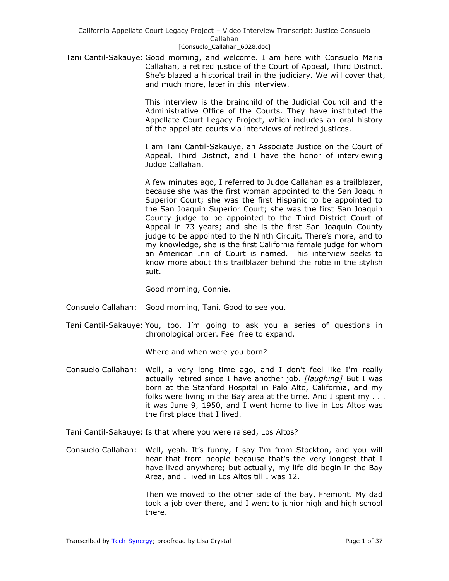Tani Cantil-Sakauye: Good morning, and welcome. I am here with Consuelo Maria Callahan, a retired justice of the Court of Appeal, Third District. She's blazed a historical trail in the judiciary. We will cover that, and much more, later in this interview.

> This interview is the brainchild of the Judicial Council and the Administrative Office of the Courts. They have instituted the Appellate Court Legacy Project, which includes an oral history of the appellate courts via interviews of retired justices.

> I am Tani Cantil-Sakauye, an Associate Justice on the Court of Appeal, Third District, and I have the honor of interviewing Judge Callahan.

> A few minutes ago, I referred to Judge Callahan as a trailblazer, because she was the first woman appointed to the San Joaquin Superior Court; she was the first Hispanic to be appointed to the San Joaquin Superior Court; she was the first San Joaquin County judge to be appointed to the Third District Court of Appeal in 73 years; and she is the first San Joaquin County judge to be appointed to the Ninth Circuit. There's more, and to my knowledge, she is the first California female judge for whom an American Inn of Court is named. This interview seeks to know more about this trailblazer behind the robe in the stylish suit.

Good morning, Connie.

- Consuelo Callahan: Good morning, Tani. Good to see you.
- Tani Cantil-Sakauye: You, too. I'm going to ask you a series of questions in chronological order. Feel free to expand.

Where and when were you born?

- Consuelo Callahan: Well, a very long time ago, and I don't feel like I'm really actually retired since I have another job. *[laughing]* But I was born at the Stanford Hospital in Palo Alto, California, and my folks were living in the Bay area at the time. And I spent my . . . it was June 9, 1950, and I went home to live in Los Altos was the first place that I lived.
- Tani Cantil-Sakauye: Is that where you were raised, Los Altos?
- Consuelo Callahan: Well, yeah. It's funny, I say I'm from Stockton, and you will hear that from people because that's the very longest that I have lived anywhere; but actually, my life did begin in the Bay Area, and I lived in Los Altos till I was 12.

Then we moved to the other side of the bay, Fremont. My dad took a job over there, and I went to junior high and high school there.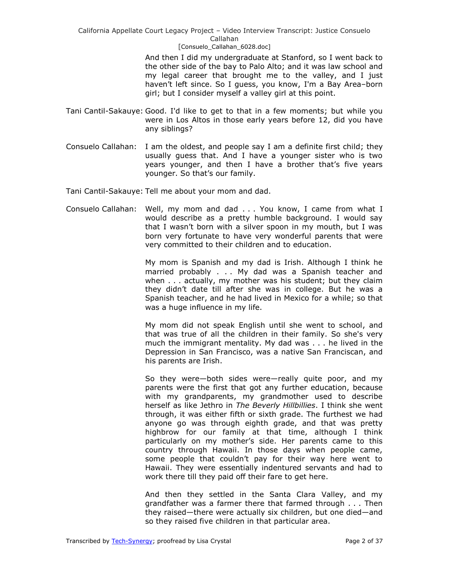> And then I did my undergraduate at Stanford, so I went back to the other side of the bay to Palo Alto; and it was law school and my legal career that brought me to the valley, and I just haven't left since. So I guess, you know, I'm a Bay Area–born girl; but I consider myself a valley girl at this point.

- Tani Cantil-Sakauye: Good. I'd like to get to that in a few moments; but while you were in Los Altos in those early years before 12, did you have any siblings?
- Consuelo Callahan: I am the oldest, and people say I am a definite first child; they usually guess that. And I have a younger sister who is two years younger, and then I have a brother that's five years younger. So that's our family.

Tani Cantil-Sakauye: Tell me about your mom and dad.

Consuelo Callahan: Well, my mom and dad . . . You know, I came from what I would describe as a pretty humble background. I would say that I wasn't born with a silver spoon in my mouth, but I was born very fortunate to have very wonderful parents that were very committed to their children and to education.

> My mom is Spanish and my dad is Irish. Although I think he married probably . . . My dad was a Spanish teacher and when . . . actually, my mother was his student; but they claim they didn't date till after she was in college. But he was a Spanish teacher, and he had lived in Mexico for a while; so that was a huge influence in my life.

> My mom did not speak English until she went to school, and that was true of all the children in their family. So she's very much the immigrant mentality. My dad was . . . he lived in the Depression in San Francisco, was a native San Franciscan, and his parents are Irish.

> So they were—both sides were—really quite poor, and my parents were the first that got any further education, because with my grandparents, my grandmother used to describe herself as like Jethro in *The Beverly Hillbillies*. I think she went through, it was either fifth or sixth grade. The furthest we had anyone go was through eighth grade, and that was pretty highbrow for our family at that time, although I think particularly on my mother's side. Her parents came to this country through Hawaii. In those days when people came, some people that couldn't pay for their way here went to Hawaii. They were essentially indentured servants and had to work there till they paid off their fare to get here.

> And then they settled in the Santa Clara Valley, and my grandfather was a farmer there that farmed through . . . Then they raised—there were actually six children, but one died—and so they raised five children in that particular area.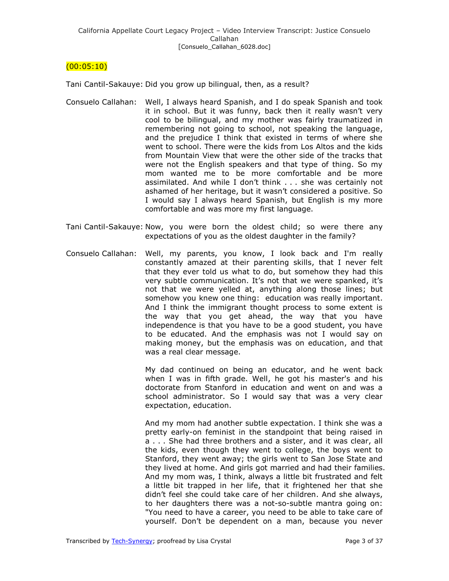# $(00:05:10)$

Tani Cantil-Sakauye: Did you grow up bilingual, then, as a result?

- Consuelo Callahan: Well, I always heard Spanish, and I do speak Spanish and took it in school. But it was funny, back then it really wasn't very cool to be bilingual, and my mother was fairly traumatized in remembering not going to school, not speaking the language, and the prejudice I think that existed in terms of where she went to school. There were the kids from Los Altos and the kids from Mountain View that were the other side of the tracks that were not the English speakers and that type of thing. So my mom wanted me to be more comfortable and be more assimilated. And while I don't think . . . she was certainly not ashamed of her heritage, but it wasn't considered a positive. So I would say I always heard Spanish, but English is my more comfortable and was more my first language.
- Tani Cantil-Sakauye: Now, you were born the oldest child; so were there any expectations of you as the oldest daughter in the family?
- Consuelo Callahan: Well, my parents, you know, I look back and I'm really constantly amazed at their parenting skills, that I never felt that they ever told us what to do, but somehow they had this very subtle communication. It's not that we were spanked, it's not that we were yelled at, anything along those lines; but somehow you knew one thing: education was really important. And I think the immigrant thought process to some extent is the way that you get ahead, the way that you have independence is that you have to be a good student, you have to be educated. And the emphasis was not I would say on making money, but the emphasis was on education, and that was a real clear message.

My dad continued on being an educator, and he went back when I was in fifth grade. Well, he got his master's and his doctorate from Stanford in education and went on and was a school administrator. So I would say that was a very clear expectation, education.

And my mom had another subtle expectation. I think she was a pretty early-on feminist in the standpoint that being raised in a . . . She had three brothers and a sister, and it was clear, all the kids, even though they went to college, the boys went to Stanford, they went away; the girls went to San Jose State and they lived at home. And girls got married and had their families. And my mom was, I think, always a little bit frustrated and felt a little bit trapped in her life, that it frightened her that she didn't feel she could take care of her children. And she always, to her daughters there was a not-so-subtle mantra going on: "You need to have a career, you need to be able to take care of yourself. Don't be dependent on a man, because you never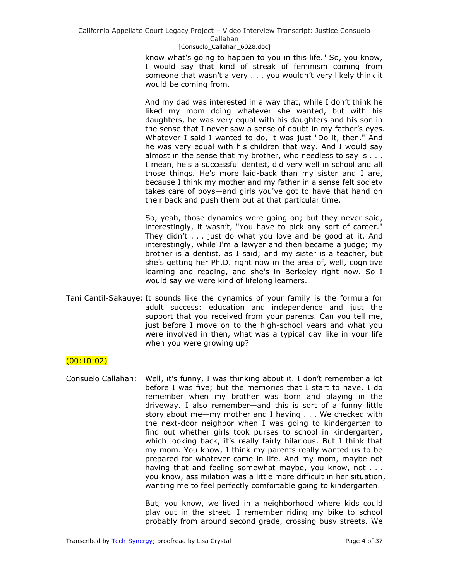know what's going to happen to you in this life." So, you know, I would say that kind of streak of feminism coming from someone that wasn't a very . . . you wouldn't very likely think it would be coming from.

And my dad was interested in a way that, while I don't think he liked my mom doing whatever she wanted, but with his daughters, he was very equal with his daughters and his son in the sense that I never saw a sense of doubt in my father's eyes. Whatever I said I wanted to do, it was just "Do it, then." And he was very equal with his children that way. And I would say almost in the sense that my brother, who needless to say is . . . I mean, he's a successful dentist, did very well in school and all those things. He's more laid-back than my sister and I are, because I think my mother and my father in a sense felt society takes care of boys—and girls you've got to have that hand on their back and push them out at that particular time.

So, yeah, those dynamics were going on; but they never said, interestingly, it wasn't, "You have to pick any sort of career." They didn't . . . just do what you love and be good at it. And interestingly, while I'm a lawyer and then became a judge; my brother is a dentist, as I said; and my sister is a teacher, but she's getting her Ph.D. right now in the area of, well, cognitive learning and reading, and she's in Berkeley right now. So I would say we were kind of lifelong learners.

Tani Cantil-Sakauye: It sounds like the dynamics of your family is the formula for adult success: education and independence and just the support that you received from your parents. Can you tell me, just before I move on to the high-school years and what you were involved in then, what was a typical day like in your life when you were growing up?

# $(00:10:02)$

Consuelo Callahan: Well, it's funny, I was thinking about it. I don't remember a lot before I was five; but the memories that I start to have, I do remember when my brother was born and playing in the driveway. I also remember—and this is sort of a funny little story about me—my mother and I having . . . We checked with the next-door neighbor when I was going to kindergarten to find out whether girls took purses to school in kindergarten, which looking back, it's really fairly hilarious. But I think that my mom. You know, I think my parents really wanted us to be prepared for whatever came in life. And my mom, maybe not having that and feeling somewhat maybe, you know, not . . . you know, assimilation was a little more difficult in her situation, wanting me to feel perfectly comfortable going to kindergarten.

> But, you know, we lived in a neighborhood where kids could play out in the street. I remember riding my bike to school probably from around second grade, crossing busy streets. We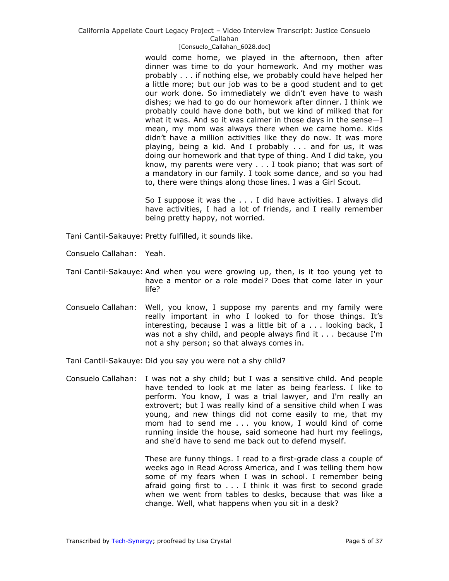### [Consuelo\_Callahan\_6028.doc]

would come home, we played in the afternoon, then after dinner was time to do your homework. And my mother was probably . . . if nothing else, we probably could have helped her a little more; but our job was to be a good student and to get our work done. So immediately we didn't even have to wash dishes; we had to go do our homework after dinner. I think we probably could have done both, but we kind of milked that for what it was. And so it was calmer in those days in the sense—I mean, my mom was always there when we came home. Kids didn't have a million activities like they do now. It was more playing, being a kid. And I probably . . . and for us, it was doing our homework and that type of thing. And I did take, you know, my parents were very . . . I took piano; that was sort of a mandatory in our family. I took some dance, and so you had to, there were things along those lines. I was a Girl Scout.

So I suppose it was the . . . I did have activities. I always did have activities, I had a lot of friends, and I really remember being pretty happy, not worried.

- Tani Cantil-Sakauye: Pretty fulfilled, it sounds like.
- Consuelo Callahan: Yeah.
- Tani Cantil-Sakauye: And when you were growing up, then, is it too young yet to have a mentor or a role model? Does that come later in your life?
- Consuelo Callahan: Well, you know, I suppose my parents and my family were really important in who I looked to for those things. It's interesting, because I was a little bit of a . . . looking back, I was not a shy child, and people always find it . . . because I'm not a shy person; so that always comes in.
- Tani Cantil-Sakauye: Did you say you were not a shy child?
- Consuelo Callahan: I was not a shy child; but I was a sensitive child. And people have tended to look at me later as being fearless. I like to perform. You know, I was a trial lawyer, and I'm really an extrovert; but I was really kind of a sensitive child when I was young, and new things did not come easily to me, that my mom had to send me . . . you know, I would kind of come running inside the house, said someone had hurt my feelings, and she'd have to send me back out to defend myself.

These are funny things. I read to a first-grade class a couple of weeks ago in Read Across America, and I was telling them how some of my fears when I was in school. I remember being afraid going first to . . . I think it was first to second grade when we went from tables to desks, because that was like a change. Well, what happens when you sit in a desk?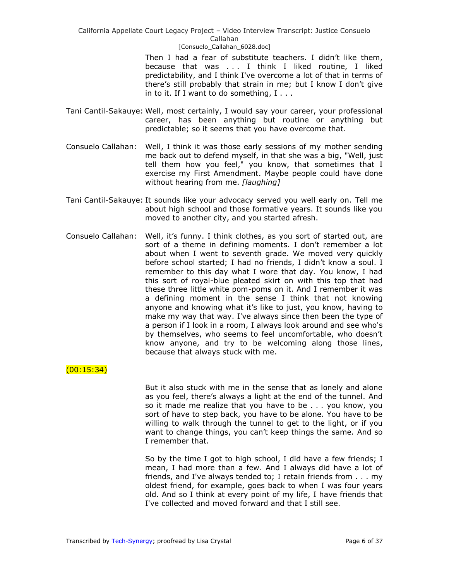> Then I had a fear of substitute teachers. I didn't like them, because that was . . . I think I liked routine, I liked predictability, and I think I've overcome a lot of that in terms of there's still probably that strain in me; but I know I don't give in to it. If I want to do something, I . . .

- Tani Cantil-Sakauye: Well, most certainly, I would say your career, your professional career, has been anything but routine or anything but predictable; so it seems that you have overcome that.
- Consuelo Callahan: Well, I think it was those early sessions of my mother sending me back out to defend myself, in that she was a big, "Well, just tell them how you feel," you know, that sometimes that I exercise my First Amendment. Maybe people could have done without hearing from me. *[laughing]*
- Tani Cantil-Sakauye: It sounds like your advocacy served you well early on. Tell me about high school and those formative years. It sounds like you moved to another city, and you started afresh.
- Consuelo Callahan: Well, it's funny. I think clothes, as you sort of started out, are sort of a theme in defining moments. I don't remember a lot about when I went to seventh grade. We moved very quickly before school started; I had no friends, I didn't know a soul. I remember to this day what I wore that day. You know, I had this sort of royal-blue pleated skirt on with this top that had these three little white pom-poms on it. And I remember it was a defining moment in the sense I think that not knowing anyone and knowing what it's like to just, you know, having to make my way that way. I've always since then been the type of a person if I look in a room, I always look around and see who's by themselves, who seems to feel uncomfortable, who doesn't know anyone, and try to be welcoming along those lines, because that always stuck with me.

# (00:15:34)

But it also stuck with me in the sense that as lonely and alone as you feel, there's always a light at the end of the tunnel. And so it made me realize that you have to be . . . you know, you sort of have to step back, you have to be alone. You have to be willing to walk through the tunnel to get to the light, or if you want to change things, you can't keep things the same. And so I remember that.

So by the time I got to high school, I did have a few friends; I mean, I had more than a few. And I always did have a lot of friends, and I've always tended to; I retain friends from . . . my oldest friend, for example, goes back to when I was four years old. And so I think at every point of my life, I have friends that I've collected and moved forward and that I still see.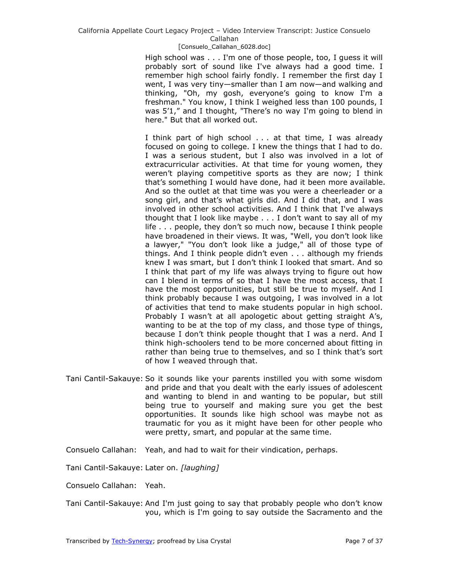### [Consuelo\_Callahan\_6028.doc]

High school was . . . I'm one of those people, too, I guess it will probably sort of sound like I've always had a good time. I remember high school fairly fondly. I remember the first day I went, I was very tiny—smaller than I am now—and walking and thinking, "Oh, my gosh, everyone's going to know I'm a freshman." You know, I think I weighed less than 100 pounds, I was 5'1," and I thought, "There's no way I'm going to blend in here." But that all worked out.

I think part of high school . . . at that time, I was already focused on going to college. I knew the things that I had to do. I was a serious student, but I also was involved in a lot of extracurricular activities. At that time for young women, they weren't playing competitive sports as they are now; I think that's something I would have done, had it been more available. And so the outlet at that time was you were a cheerleader or a song girl, and that's what girls did. And I did that, and I was involved in other school activities. And I think that I've always thought that I look like maybe . . . I don't want to say all of my life . . . people, they don't so much now, because I think people have broadened in their views. It was, "Well, you don't look like a lawyer," "You don't look like a judge," all of those type of things. And I think people didn't even . . . although my friends knew I was smart, but I don't think I looked that smart. And so I think that part of my life was always trying to figure out how can I blend in terms of so that I have the most access, that I have the most opportunities, but still be true to myself. And I think probably because I was outgoing, I was involved in a lot of activities that tend to make students popular in high school. Probably I wasn't at all apologetic about getting straight A's, wanting to be at the top of my class, and those type of things, because I don't think people thought that I was a nerd. And I think high-schoolers tend to be more concerned about fitting in rather than being true to themselves, and so I think that's sort of how I weaved through that.

- Tani Cantil-Sakauye: So it sounds like your parents instilled you with some wisdom and pride and that you dealt with the early issues of adolescent and wanting to blend in and wanting to be popular, but still being true to yourself and making sure you get the best opportunities. It sounds like high school was maybe not as traumatic for you as it might have been for other people who were pretty, smart, and popular at the same time.
- Consuelo Callahan: Yeah, and had to wait for their vindication, perhaps.
- Tani Cantil-Sakauye: Later on. *[laughing]*
- Consuelo Callahan: Yeah.
- Tani Cantil-Sakauye: And I'm just going to say that probably people who don't know you, which is I'm going to say outside the Sacramento and the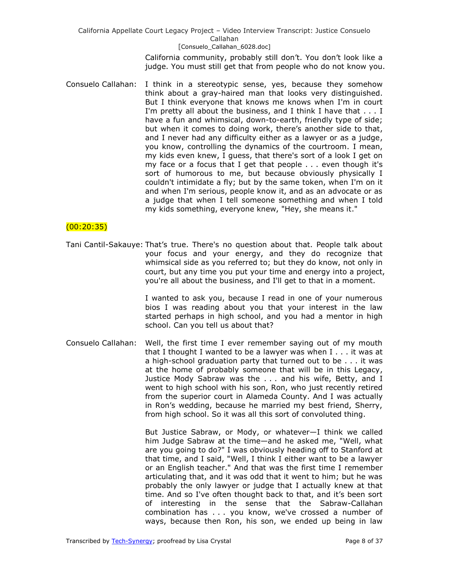> California community, probably still don't. You don't look like a judge. You must still get that from people who do not know you.

Consuelo Callahan: I think in a stereotypic sense, yes, because they somehow think about a gray-haired man that looks very distinguished. But I think everyone that knows me knows when I'm in court I'm pretty all about the business, and I think I have that . . . I have a fun and whimsical, down-to-earth, friendly type of side; but when it comes to doing work, there's another side to that, and I never had any difficulty either as a lawyer or as a judge, you know, controlling the dynamics of the courtroom. I mean, my kids even knew, I guess, that there's sort of a look I get on my face or a focus that I get that people . . . even though it's sort of humorous to me, but because obviously physically I couldn't intimidate a fly; but by the same token, when I'm on it and when I'm serious, people know it, and as an advocate or as a judge that when I tell someone something and when I told my kids something, everyone knew, "Hey, she means it."

## $(00:20:35)$

Tani Cantil-Sakauye: That's true. There's no question about that. People talk about your focus and your energy, and they do recognize that whimsical side as you referred to; but they do know, not only in court, but any time you put your time and energy into a project, you're all about the business, and I'll get to that in a moment.

> I wanted to ask you, because I read in one of your numerous bios I was reading about you that your interest in the law started perhaps in high school, and you had a mentor in high school. Can you tell us about that?

Consuelo Callahan: Well, the first time I ever remember saying out of my mouth that I thought I wanted to be a lawyer was when I . . . it was at a high-school graduation party that turned out to be . . . it was at the home of probably someone that will be in this Legacy, Justice Mody Sabraw was the . . . and his wife, Betty, and I went to high school with his son, Ron, who just recently retired from the superior court in Alameda County. And I was actually in Ron's wedding, because he married my best friend, Sherry, from high school. So it was all this sort of convoluted thing.

> But Justice Sabraw, or Mody, or whatever—I think we called him Judge Sabraw at the time—and he asked me, "Well, what are you going to do?" I was obviously heading off to Stanford at that time, and I said, "Well, I think I either want to be a lawyer or an English teacher." And that was the first time I remember articulating that, and it was odd that it went to him; but he was probably the only lawyer or judge that I actually knew at that time. And so I've often thought back to that, and it's been sort of interesting in the sense that the Sabraw-Callahan combination has . . . you know, we've crossed a number of ways, because then Ron, his son, we ended up being in law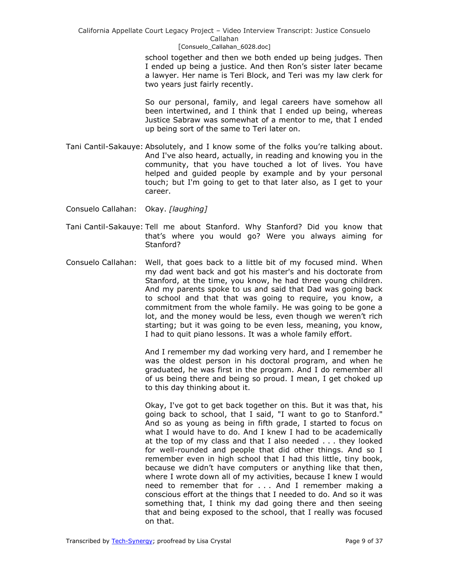### [Consuelo\_Callahan\_6028.doc]

school together and then we both ended up being judges. Then I ended up being a justice. And then Ron's sister later became a lawyer. Her name is Teri Block, and Teri was my law clerk for two years just fairly recently.

So our personal, family, and legal careers have somehow all been intertwined, and I think that I ended up being, whereas Justice Sabraw was somewhat of a mentor to me, that I ended up being sort of the same to Teri later on.

- Tani Cantil-Sakauye: Absolutely, and I know some of the folks you're talking about. And I've also heard, actually, in reading and knowing you in the community, that you have touched a lot of lives. You have helped and guided people by example and by your personal touch; but I'm going to get to that later also, as I get to your career.
- Consuelo Callahan: Okay. *[laughing]*
- Tani Cantil-Sakauye: Tell me about Stanford. Why Stanford? Did you know that that's where you would go? Were you always aiming for Stanford?
- Consuelo Callahan: Well, that goes back to a little bit of my focused mind. When my dad went back and got his master's and his doctorate from Stanford, at the time, you know, he had three young children. And my parents spoke to us and said that Dad was going back to school and that that was going to require, you know, a commitment from the whole family. He was going to be gone a lot, and the money would be less, even though we weren't rich starting; but it was going to be even less, meaning, you know, I had to quit piano lessons. It was a whole family effort.

And I remember my dad working very hard, and I remember he was the oldest person in his doctoral program, and when he graduated, he was first in the program. And I do remember all of us being there and being so proud. I mean, I get choked up to this day thinking about it.

Okay, I've got to get back together on this. But it was that, his going back to school, that I said, "I want to go to Stanford." And so as young as being in fifth grade, I started to focus on what I would have to do. And I knew I had to be academically at the top of my class and that I also needed . . . they looked for well-rounded and people that did other things. And so I remember even in high school that I had this little, tiny book, because we didn't have computers or anything like that then, where I wrote down all of my activities, because I knew I would need to remember that for . . . And I remember making a conscious effort at the things that I needed to do. And so it was something that, I think my dad going there and then seeing that and being exposed to the school, that I really was focused on that.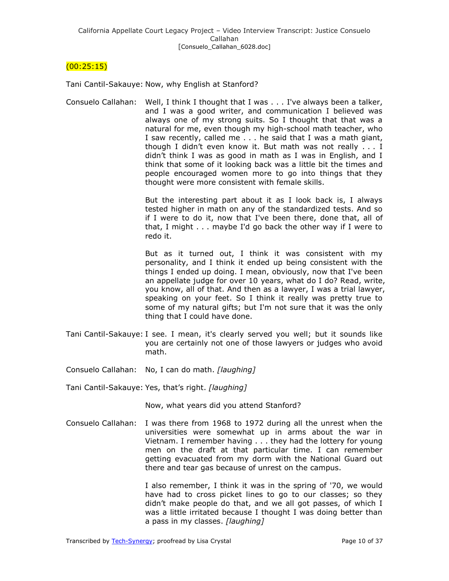# $(00:25:15)$

Tani Cantil-Sakauye: Now, why English at Stanford?

Consuelo Callahan: Well, I think I thought that I was . . . I've always been a talker, and I was a good writer, and communication I believed was always one of my strong suits. So I thought that that was a natural for me, even though my high-school math teacher, who I saw recently, called me . . . he said that I was a math giant, though I didn't even know it. But math was not really . . . I didn't think I was as good in math as I was in English, and I think that some of it looking back was a little bit the times and people encouraged women more to go into things that they thought were more consistent with female skills.

> But the interesting part about it as I look back is, I always tested higher in math on any of the standardized tests. And so if I were to do it, now that I've been there, done that, all of that, I might . . . maybe I'd go back the other way if I were to redo it.

> But as it turned out, I think it was consistent with my personality, and I think it ended up being consistent with the things I ended up doing. I mean, obviously, now that I've been an appellate judge for over 10 years, what do I do? Read, write, you know, all of that. And then as a lawyer, I was a trial lawyer, speaking on your feet. So I think it really was pretty true to some of my natural gifts; but I'm not sure that it was the only thing that I could have done.

- Tani Cantil-Sakauye: I see. I mean, it's clearly served you well; but it sounds like you are certainly not one of those lawyers or judges who avoid math.
- Consuelo Callahan: No, I can do math. *[laughing]*

Tani Cantil-Sakauye: Yes, that's right. *[laughing]*

Now, what years did you attend Stanford?

Consuelo Callahan: I was there from 1968 to 1972 during all the unrest when the universities were somewhat up in arms about the war in Vietnam. I remember having . . . they had the lottery for young men on the draft at that particular time. I can remember getting evacuated from my dorm with the National Guard out there and tear gas because of unrest on the campus.

> I also remember, I think it was in the spring of '70, we would have had to cross picket lines to go to our classes; so they didn't make people do that, and we all got passes, of which I was a little irritated because I thought I was doing better than a pass in my classes. *[laughing]*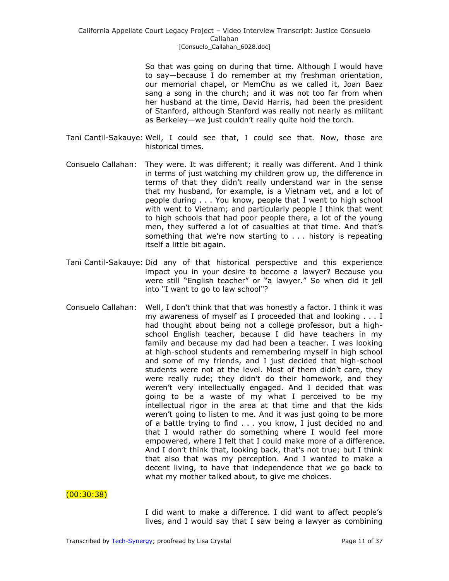So that was going on during that time. Although I would have to say—because I do remember at my freshman orientation, our memorial chapel, or MemChu as we called it, Joan Baez sang a song in the church; and it was not too far from when her husband at the time, David Harris, had been the president of Stanford, although Stanford was really not nearly as militant as Berkeley—we just couldn't really quite hold the torch.

- Tani Cantil-Sakauye: Well, I could see that, I could see that. Now, those are historical times.
- Consuelo Callahan: They were. It was different; it really was different. And I think in terms of just watching my children grow up, the difference in terms of that they didn't really understand war in the sense that my husband, for example, is a Vietnam vet, and a lot of people during . . . You know, people that I went to high school with went to Vietnam; and particularly people I think that went to high schools that had poor people there, a lot of the young men, they suffered a lot of casualties at that time. And that's something that we're now starting to . . . history is repeating itself a little bit again.
- Tani Cantil-Sakauye: Did any of that historical perspective and this experience impact you in your desire to become a lawyer? Because you were still "English teacher" or "a lawyer." So when did it jell into "I want to go to law school"?
- Consuelo Callahan: Well, I don't think that that was honestly a factor. I think it was my awareness of myself as I proceeded that and looking . . . I had thought about being not a college professor, but a highschool English teacher, because I did have teachers in my family and because my dad had been a teacher. I was looking at high-school students and remembering myself in high school and some of my friends, and I just decided that high-school students were not at the level. Most of them didn't care, they were really rude; they didn't do their homework, and they weren't very intellectually engaged. And I decided that was going to be a waste of my what I perceived to be my intellectual rigor in the area at that time and that the kids weren't going to listen to me. And it was just going to be more of a battle trying to find . . . you know, I just decided no and that I would rather do something where I would feel more empowered, where I felt that I could make more of a difference. And I don't think that, looking back, that's not true; but I think that also that was my perception. And I wanted to make a decent living, to have that independence that we go back to what my mother talked about, to give me choices.

(00:30:38)

I did want to make a difference. I did want to affect people's lives, and I would say that I saw being a lawyer as combining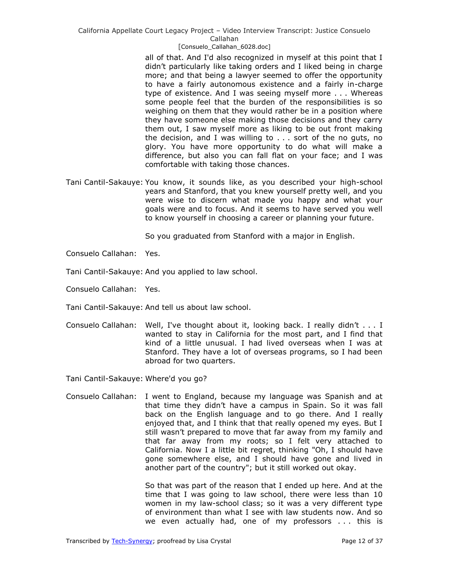> all of that. And I'd also recognized in myself at this point that I didn't particularly like taking orders and I liked being in charge more; and that being a lawyer seemed to offer the opportunity to have a fairly autonomous existence and a fairly in-charge type of existence. And I was seeing myself more . . . Whereas some people feel that the burden of the responsibilities is so weighing on them that they would rather be in a position where they have someone else making those decisions and they carry them out, I saw myself more as liking to be out front making the decision, and I was willing to . . . sort of the no guts, no glory. You have more opportunity to do what will make a difference, but also you can fall flat on your face; and I was comfortable with taking those chances.

Tani Cantil-Sakauye: You know, it sounds like, as you described your high-school years and Stanford, that you knew yourself pretty well, and you were wise to discern what made you happy and what your goals were and to focus. And it seems to have served you well to know yourself in choosing a career or planning your future.

So you graduated from Stanford with a major in English.

- Consuelo Callahan: Yes.
- Tani Cantil-Sakauye: And you applied to law school.
- Consuelo Callahan: Yes.
- Tani Cantil-Sakauye: And tell us about law school.
- Consuelo Callahan: Well, I've thought about it, looking back. I really didn't . . . I wanted to stay in California for the most part, and I find that kind of a little unusual. I had lived overseas when I was at Stanford. They have a lot of overseas programs, so I had been abroad for two quarters.

Tani Cantil-Sakauye: Where'd you go?

Consuelo Callahan: I went to England, because my language was Spanish and at that time they didn't have a campus in Spain. So it was fall back on the English language and to go there. And I really enjoyed that, and I think that that really opened my eyes. But I still wasn't prepared to move that far away from my family and that far away from my roots; so I felt very attached to California. Now I a little bit regret, thinking "Oh, I should have gone somewhere else, and I should have gone and lived in another part of the country"; but it still worked out okay.

> So that was part of the reason that I ended up here. And at the time that I was going to law school, there were less than 10 women in my law-school class; so it was a very different type of environment than what I see with law students now. And so we even actually had, one of my professors . . . this is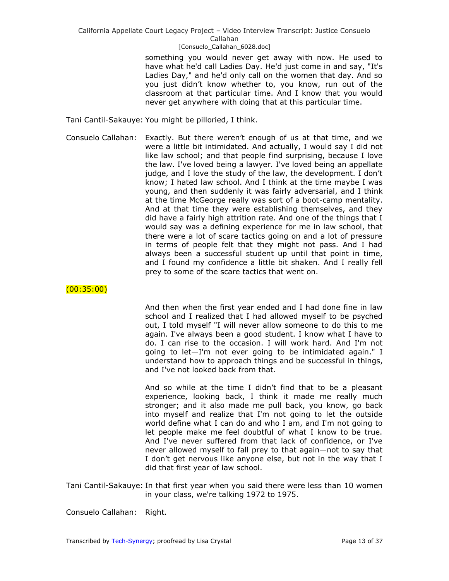something you would never get away with now. He used to have what he'd call Ladies Day. He'd just come in and say, "It's Ladies Day," and he'd only call on the women that day. And so you just didn't know whether to, you know, run out of the classroom at that particular time. And I know that you would never get anywhere with doing that at this particular time.

Tani Cantil-Sakauye: You might be pilloried, I think.

Consuelo Callahan: Exactly. But there weren't enough of us at that time, and we were a little bit intimidated. And actually, I would say I did not like law school; and that people find surprising, because I love the law. I've loved being a lawyer. I've loved being an appellate judge, and I love the study of the law, the development. I don't know; I hated law school. And I think at the time maybe I was young, and then suddenly it was fairly adversarial, and I think at the time McGeorge really was sort of a boot-camp mentality. And at that time they were establishing themselves, and they did have a fairly high attrition rate. And one of the things that I would say was a defining experience for me in law school, that there were a lot of scare tactics going on and a lot of pressure in terms of people felt that they might not pass. And I had always been a successful student up until that point in time, and I found my confidence a little bit shaken. And I really fell prey to some of the scare tactics that went on.

 $(00:35:00)$ 

And then when the first year ended and I had done fine in law school and I realized that I had allowed myself to be psyched out, I told myself "I will never allow someone to do this to me again. I've always been a good student. I know what I have to do. I can rise to the occasion. I will work hard. And I'm not going to let—I'm not ever going to be intimidated again." I understand how to approach things and be successful in things, and I've not looked back from that.

And so while at the time I didn't find that to be a pleasant experience, looking back, I think it made me really much stronger; and it also made me pull back, you know, go back into myself and realize that I'm not going to let the outside world define what I can do and who I am, and I'm not going to let people make me feel doubtful of what I know to be true. And I've never suffered from that lack of confidence, or I've never allowed myself to fall prey to that again—not to say that I don't get nervous like anyone else, but not in the way that I did that first year of law school.

Tani Cantil-Sakauye: In that first year when you said there were less than 10 women in your class, we're talking 1972 to 1975.

Consuelo Callahan: Right.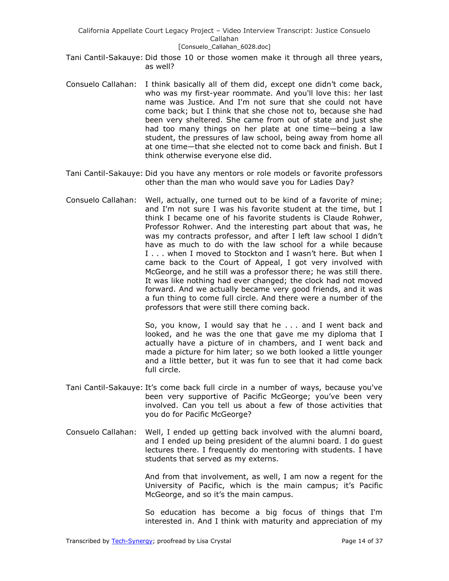- Tani Cantil-Sakauye: Did those 10 or those women make it through all three years, as well?
- Consuelo Callahan: I think basically all of them did, except one didn't come back, who was my first-year roommate. And you'll love this: her last name was Justice. And I'm not sure that she could not have come back; but I think that she chose not to, because she had been very sheltered. She came from out of state and just she had too many things on her plate at one time—being a law student, the pressures of law school, being away from home all at one time—that she elected not to come back and finish. But I think otherwise everyone else did.
- Tani Cantil-Sakauye: Did you have any mentors or role models or favorite professors other than the man who would save you for Ladies Day?
- Consuelo Callahan: Well, actually, one turned out to be kind of a favorite of mine; and I'm not sure I was his favorite student at the time, but I think I became one of his favorite students is Claude Rohwer, Professor Rohwer. And the interesting part about that was, he was my contracts professor, and after I left law school I didn't have as much to do with the law school for a while because I . . . when I moved to Stockton and I wasn't here. But when I came back to the Court of Appeal, I got very involved with McGeorge, and he still was a professor there; he was still there. It was like nothing had ever changed; the clock had not moved forward. And we actually became very good friends, and it was a fun thing to come full circle. And there were a number of the professors that were still there coming back.

So, you know, I would say that he . . . and I went back and looked, and he was the one that gave me my diploma that I actually have a picture of in chambers, and I went back and made a picture for him later; so we both looked a little younger and a little better, but it was fun to see that it had come back full circle.

- Tani Cantil-Sakauye: It's come back full circle in a number of ways, because you've been very supportive of Pacific McGeorge; you've been very involved. Can you tell us about a few of those activities that you do for Pacific McGeorge?
- Consuelo Callahan: Well, I ended up getting back involved with the alumni board, and I ended up being president of the alumni board. I do guest lectures there. I frequently do mentoring with students. I have students that served as my externs.

And from that involvement, as well, I am now a regent for the University of Pacific, which is the main campus; it's Pacific McGeorge, and so it's the main campus.

So education has become a big focus of things that I'm interested in. And I think with maturity and appreciation of my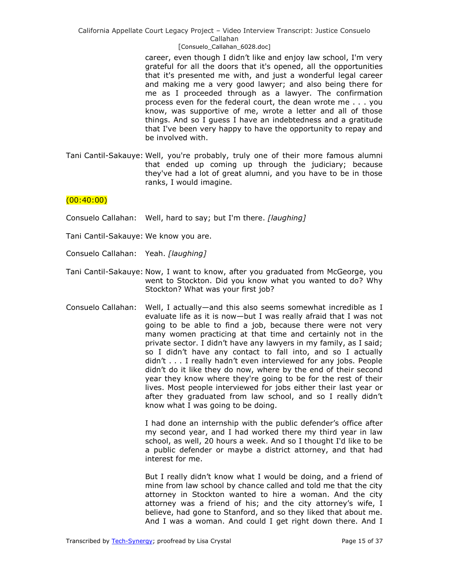### [Consuelo\_Callahan\_6028.doc]

career, even though I didn't like and enjoy law school, I'm very grateful for all the doors that it's opened, all the opportunities that it's presented me with, and just a wonderful legal career and making me a very good lawyer; and also being there for me as I proceeded through as a lawyer. The confirmation process even for the federal court, the dean wrote me . . . you know, was supportive of me, wrote a letter and all of those things. And so I guess I have an indebtedness and a gratitude that I've been very happy to have the opportunity to repay and be involved with.

Tani Cantil-Sakauye: Well, you're probably, truly one of their more famous alumni that ended up coming up through the judiciary; because they've had a lot of great alumni, and you have to be in those ranks, I would imagine.

### $(00:40:00)$

- Consuelo Callahan: Well, hard to say; but I'm there. *[laughing]*
- Tani Cantil-Sakauye: We know you are.
- Consuelo Callahan: Yeah. *[laughing]*
- Tani Cantil-Sakauye: Now, I want to know, after you graduated from McGeorge, you went to Stockton. Did you know what you wanted to do? Why Stockton? What was your first job?
- Consuelo Callahan: Well, I actually—and this also seems somewhat incredible as I evaluate life as it is now—but I was really afraid that I was not going to be able to find a job, because there were not very many women practicing at that time and certainly not in the private sector. I didn't have any lawyers in my family, as I said; so I didn't have any contact to fall into, and so I actually didn't . . . I really hadn't even interviewed for any jobs. People didn't do it like they do now, where by the end of their second year they know where they're going to be for the rest of their lives. Most people interviewed for jobs either their last year or after they graduated from law school, and so I really didn't know what I was going to be doing.

I had done an internship with the public defender's office after my second year, and I had worked there my third year in law school, as well, 20 hours a week. And so I thought I'd like to be a public defender or maybe a district attorney, and that had interest for me.

But I really didn't know what I would be doing, and a friend of mine from law school by chance called and told me that the city attorney in Stockton wanted to hire a woman. And the city attorney was a friend of his; and the city attorney's wife, I believe, had gone to Stanford, and so they liked that about me. And I was a woman. And could I get right down there. And I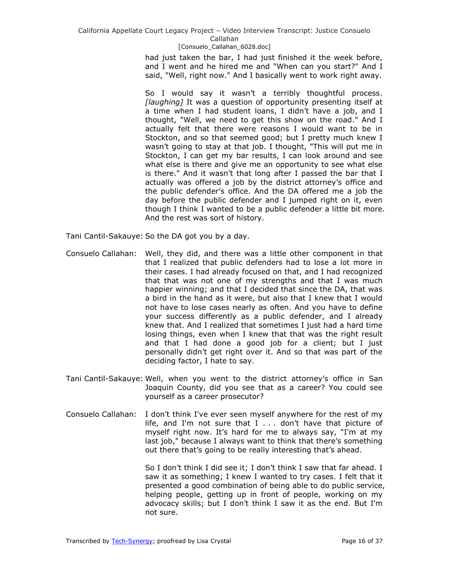### [Consuelo\_Callahan\_6028.doc]

had just taken the bar, I had just finished it the week before, and I went and he hired me and "When can you start?" And I said, "Well, right now." And I basically went to work right away.

So I would say it wasn't a terribly thoughtful process. *[laughing]* It was a question of opportunity presenting itself at a time when I had student loans, I didn't have a job, and I thought, "Well, we need to get this show on the road." And I actually felt that there were reasons I would want to be in Stockton, and so that seemed good; but I pretty much knew I wasn't going to stay at that job. I thought, "This will put me in Stockton, I can get my bar results, I can look around and see what else is there and give me an opportunity to see what else is there." And it wasn't that long after I passed the bar that I actually was offered a job by the district attorney's office and the public defender's office. And the DA offered me a job the day before the public defender and I jumped right on it, even though I think I wanted to be a public defender a little bit more. And the rest was sort of history.

Tani Cantil-Sakauye: So the DA got you by a day.

- Consuelo Callahan: Well, they did, and there was a little other component in that that I realized that public defenders had to lose a lot more in their cases. I had already focused on that, and I had recognized that that was not one of my strengths and that I was much happier winning; and that I decided that since the DA, that was a bird in the hand as it were, but also that I knew that I would not have to lose cases nearly as often. And you have to define your success differently as a public defender, and I already knew that. And I realized that sometimes I just had a hard time losing things, even when I knew that that was the right result and that I had done a good job for a client; but I just personally didn't get right over it. And so that was part of the deciding factor, I hate to say.
- Tani Cantil-Sakauye: Well, when you went to the district attorney's office in San Joaquin County, did you see that as a career? You could see yourself as a career prosecutor?
- Consuelo Callahan: I don't think I've ever seen myself anywhere for the rest of my life, and I'm not sure that I . . . don't have that picture of myself right now. It's hard for me to always say, "I'm at my last job," because I always want to think that there's something out there that's going to be really interesting that's ahead.

So I don't think I did see it; I don't think I saw that far ahead. I saw it as something; I knew I wanted to try cases. I felt that it presented a good combination of being able to do public service, helping people, getting up in front of people, working on my advocacy skills; but I don't think I saw it as the end. But I'm not sure.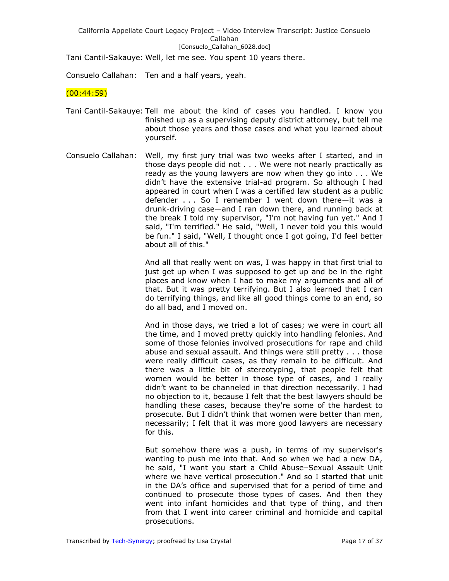Tani Cantil-Sakauye: Well, let me see. You spent 10 years there.

Consuelo Callahan: Ten and a half years, yeah.

## $(00:44:59)$

- Tani Cantil-Sakauye: Tell me about the kind of cases you handled. I know you finished up as a supervising deputy district attorney, but tell me about those years and those cases and what you learned about yourself.
- Consuelo Callahan: Well, my first jury trial was two weeks after I started, and in those days people did not . . . We were not nearly practically as ready as the young lawyers are now when they go into . . . We didn't have the extensive trial-ad program. So although I had appeared in court when I was a certified law student as a public defender . . . So I remember I went down there—it was a drunk-driving case—and I ran down there, and running back at the break I told my supervisor, "I'm not having fun yet." And I said, "I'm terrified." He said, "Well, I never told you this would be fun." I said, "Well, I thought once I got going, I'd feel better about all of this."

And all that really went on was, I was happy in that first trial to just get up when I was supposed to get up and be in the right places and know when I had to make my arguments and all of that. But it was pretty terrifying. But I also learned that I can do terrifying things, and like all good things come to an end, so do all bad, and I moved on.

And in those days, we tried a lot of cases; we were in court all the time, and I moved pretty quickly into handling felonies. And some of those felonies involved prosecutions for rape and child abuse and sexual assault. And things were still pretty . . . those were really difficult cases, as they remain to be difficult. And there was a little bit of stereotyping, that people felt that women would be better in those type of cases, and I really didn't want to be channeled in that direction necessarily. I had no objection to it, because I felt that the best lawyers should be handling these cases, because they're some of the hardest to prosecute. But I didn't think that women were better than men, necessarily; I felt that it was more good lawyers are necessary for this.

But somehow there was a push, in terms of my supervisor's wanting to push me into that. And so when we had a new DA, he said, "I want you start a Child Abuse–Sexual Assault Unit where we have vertical prosecution." And so I started that unit in the DA's office and supervised that for a period of time and continued to prosecute those types of cases. And then they went into infant homicides and that type of thing, and then from that I went into career criminal and homicide and capital prosecutions.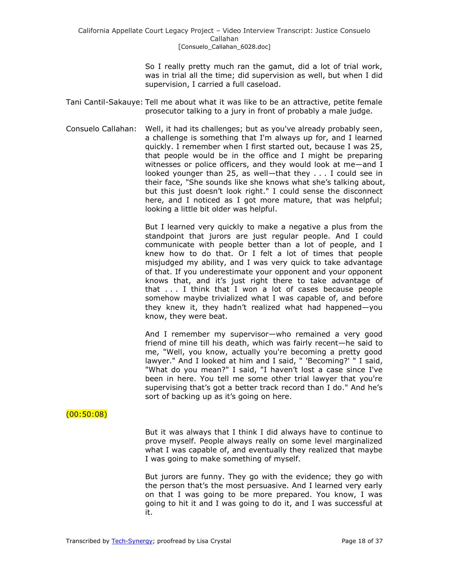So I really pretty much ran the gamut, did a lot of trial work, was in trial all the time; did supervision as well, but when I did supervision, I carried a full caseload.

- Tani Cantil-Sakauye: Tell me about what it was like to be an attractive, petite female prosecutor talking to a jury in front of probably a male judge.
- Consuelo Callahan: Well, it had its challenges; but as you've already probably seen, a challenge is something that I'm always up for, and I learned quickly. I remember when I first started out, because I was 25, that people would be in the office and I might be preparing witnesses or police officers, and they would look at me—and I looked younger than 25, as well—that they . . . I could see in their face, "She sounds like she knows what she's talking about, but this just doesn't look right." I could sense the disconnect here, and I noticed as I got more mature, that was helpful; looking a little bit older was helpful.

But I learned very quickly to make a negative a plus from the standpoint that jurors are just regular people. And I could communicate with people better than a lot of people, and I knew how to do that. Or I felt a lot of times that people misjudged my ability, and I was very quick to take advantage of that. If you underestimate your opponent and your opponent knows that, and it's just right there to take advantage of that . . . I think that I won a lot of cases because people somehow maybe trivialized what I was capable of, and before they knew it, they hadn't realized what had happened—you know, they were beat.

And I remember my supervisor—who remained a very good friend of mine till his death, which was fairly recent—he said to me, "Well, you know, actually you're becoming a pretty good lawyer." And I looked at him and I said, " 'Becoming?' " I said, "What do you mean?" I said, "I haven't lost a case since I've been in here. You tell me some other trial lawyer that you're supervising that's got a better track record than I do." And he's sort of backing up as it's going on here.

## (00:50:08)

But it was always that I think I did always have to continue to prove myself. People always really on some level marginalized what I was capable of, and eventually they realized that maybe I was going to make something of myself.

But jurors are funny. They go with the evidence; they go with the person that's the most persuasive. And I learned very early on that I was going to be more prepared. You know, I was going to hit it and I was going to do it, and I was successful at it.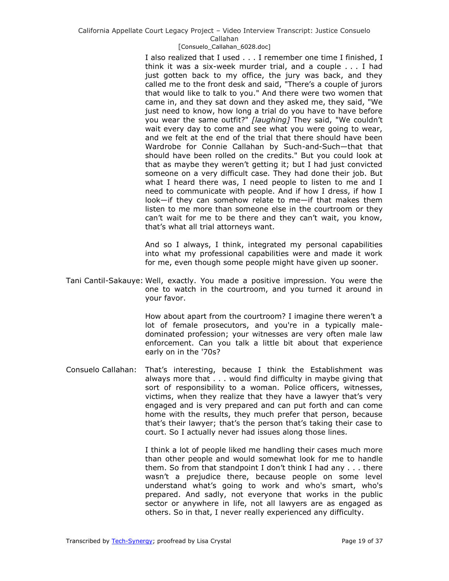### [Consuelo\_Callahan\_6028.doc]

I also realized that I used . . . I remember one time I finished, I think it was a six-week murder trial, and a couple . . . I had just gotten back to my office, the jury was back, and they called me to the front desk and said, "There's a couple of jurors that would like to talk to you." And there were two women that came in, and they sat down and they asked me, they said, "We just need to know, how long a trial do you have to have before you wear the same outfit?" *[laughing]* They said, "We couldn't wait every day to come and see what you were going to wear, and we felt at the end of the trial that there should have been Wardrobe for Connie Callahan by Such-and-Such—that that should have been rolled on the credits." But you could look at that as maybe they weren't getting it; but I had just convicted someone on a very difficult case. They had done their job. But what I heard there was, I need people to listen to me and I need to communicate with people. And if how I dress, if how I look—if they can somehow relate to me—if that makes them listen to me more than someone else in the courtroom or they can't wait for me to be there and they can't wait, you know, that's what all trial attorneys want.

And so I always, I think, integrated my personal capabilities into what my professional capabilities were and made it work for me, even though some people might have given up sooner.

Tani Cantil-Sakauye: Well, exactly. You made a positive impression. You were the one to watch in the courtroom, and you turned it around in your favor.

> How about apart from the courtroom? I imagine there weren't a lot of female prosecutors, and you're in a typically maledominated profession; your witnesses are very often male law enforcement. Can you talk a little bit about that experience early on in the '70s?

Consuelo Callahan: That's interesting, because I think the Establishment was always more that . . . would find difficulty in maybe giving that sort of responsibility to a woman. Police officers, witnesses, victims, when they realize that they have a lawyer that's very engaged and is very prepared and can put forth and can come home with the results, they much prefer that person, because that's their lawyer; that's the person that's taking their case to court. So I actually never had issues along those lines.

> I think a lot of people liked me handling their cases much more than other people and would somewhat look for me to handle them. So from that standpoint I don't think I had any . . . there wasn't a prejudice there, because people on some level understand what's going to work and who's smart, who's prepared. And sadly, not everyone that works in the public sector or anywhere in life, not all lawyers are as engaged as others. So in that, I never really experienced any difficulty.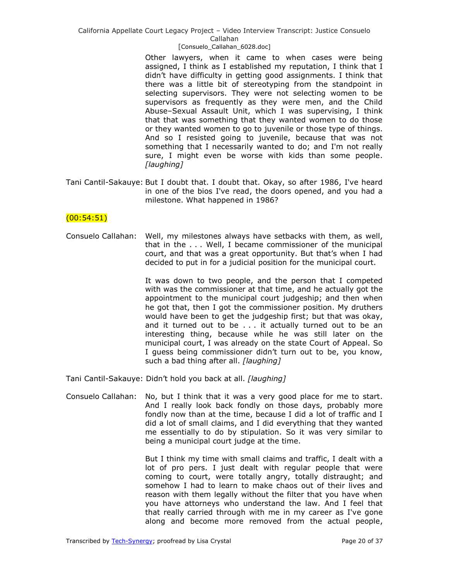#### [Consuelo\_Callahan\_6028.doc]

Other lawyers, when it came to when cases were being assigned, I think as I established my reputation, I think that I didn't have difficulty in getting good assignments. I think that there was a little bit of stereotyping from the standpoint in selecting supervisors. They were not selecting women to be supervisors as frequently as they were men, and the Child Abuse–Sexual Assault Unit, which I was supervising, I think that that was something that they wanted women to do those or they wanted women to go to juvenile or those type of things. And so I resisted going to juvenile, because that was not something that I necessarily wanted to do; and I'm not really sure, I might even be worse with kids than some people. *[laughing]*

Tani Cantil-Sakauye: But I doubt that. I doubt that. Okay, so after 1986, I've heard in one of the bios I've read, the doors opened, and you had a milestone. What happened in 1986?

### $(00:54:51)$

Consuelo Callahan: Well, my milestones always have setbacks with them, as well, that in the . . . Well, I became commissioner of the municipal court, and that was a great opportunity. But that's when I had decided to put in for a judicial position for the municipal court.

> It was down to two people, and the person that I competed with was the commissioner at that time, and he actually got the appointment to the municipal court judgeship; and then when he got that, then I got the commissioner position. My druthers would have been to get the judgeship first; but that was okay, and it turned out to be . . . it actually turned out to be an interesting thing, because while he was still later on the municipal court, I was already on the state Court of Appeal. So I guess being commissioner didn't turn out to be, you know, such a bad thing after all. *[laughing]*

Tani Cantil-Sakauye: Didn't hold you back at all. *[laughing]*

Consuelo Callahan: No, but I think that it was a very good place for me to start. And I really look back fondly on those days, probably more fondly now than at the time, because I did a lot of traffic and I did a lot of small claims, and I did everything that they wanted me essentially to do by stipulation. So it was very similar to being a municipal court judge at the time.

> But I think my time with small claims and traffic, I dealt with a lot of pro pers. I just dealt with regular people that were coming to court, were totally angry, totally distraught; and somehow I had to learn to make chaos out of their lives and reason with them legally without the filter that you have when you have attorneys who understand the law. And I feel that that really carried through with me in my career as I've gone along and become more removed from the actual people,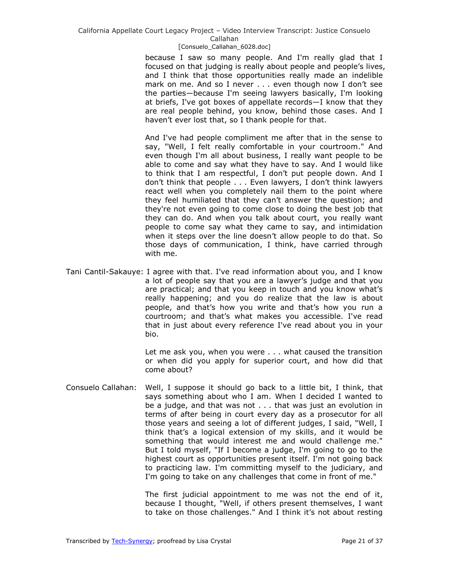[Consuelo\_Callahan\_6028.doc]

because I saw so many people. And I'm really glad that I focused on that judging is really about people and people's lives, and I think that those opportunities really made an indelible mark on me. And so I never . . . even though now I don't see the parties—because I'm seeing lawyers basically, I'm looking at briefs, I've got boxes of appellate records—I know that they are real people behind, you know, behind those cases. And I haven't ever lost that, so I thank people for that.

And I've had people compliment me after that in the sense to say, "Well, I felt really comfortable in your courtroom." And even though I'm all about business, I really want people to be able to come and say what they have to say. And I would like to think that I am respectful, I don't put people down. And I don't think that people . . . Even lawyers, I don't think lawyers react well when you completely nail them to the point where they feel humiliated that they can't answer the question; and they're not even going to come close to doing the best job that they can do. And when you talk about court, you really want people to come say what they came to say, and intimidation when it steps over the line doesn't allow people to do that. So those days of communication, I think, have carried through with me.

Tani Cantil-Sakauye: I agree with that. I've read information about you, and I know a lot of people say that you are a lawyer's judge and that you are practical; and that you keep in touch and you know what's really happening; and you do realize that the law is about people, and that's how you write and that's how you run a courtroom; and that's what makes you accessible. I've read that in just about every reference I've read about you in your bio.

> Let me ask you, when you were . . . what caused the transition or when did you apply for superior court, and how did that come about?

Consuelo Callahan: Well, I suppose it should go back to a little bit, I think, that says something about who I am. When I decided I wanted to be a judge, and that was not . . . that was just an evolution in terms of after being in court every day as a prosecutor for all those years and seeing a lot of different judges, I said, "Well, I think that's a logical extension of my skills, and it would be something that would interest me and would challenge me." But I told myself, "If I become a judge, I'm going to go to the highest court as opportunities present itself. I'm not going back to practicing law. I'm committing myself to the judiciary, and I'm going to take on any challenges that come in front of me."

> The first judicial appointment to me was not the end of it, because I thought, "Well, if others present themselves, I want to take on those challenges." And I think it's not about resting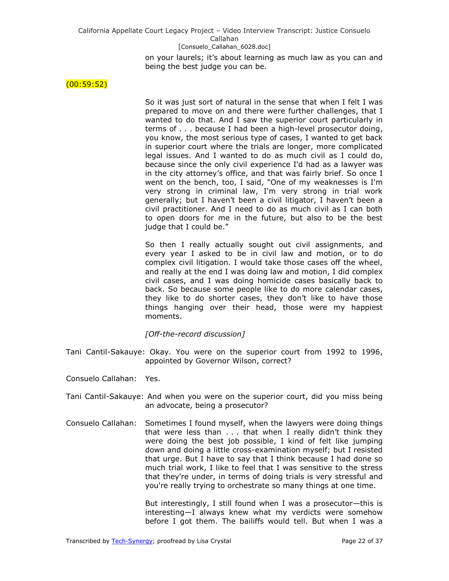on your laurels; it's about learning as much law as you can and being the best judge you can be.

### $(00:59:52)$

So it was just sort of natural in the sense that when I felt I was prepared to move on and there were further challenges, that I wanted to do that. And I saw the superior court particularly in terms of . . . because I had been a high-level prosecutor doing, you know, the most serious type of cases, I wanted to get back in superior court where the trials are longer, more complicated legal issues. And I wanted to do as much civil as I could do, because since the only civil experience I'd had as a lawyer was in the city attorney's office, and that was fairly brief. So once I went on the bench, too, I said, "One of my weaknesses is I'm very strong in criminal law, I'm very strong in trial work generally; but I haven't been a civil litigator, I haven't been a civil practitioner. And I need to do as much civil as I can both to open doors for me in the future, but also to be the best judge that I could be."

So then I really actually sought out civil assignments, and every year I asked to be in civil law and motion, or to do complex civil litigation. I would take those cases off the wheel, and really at the end I was doing law and motion, I did complex civil cases, and I was doing homicide cases basically back to back. So because some people like to do more calendar cases, they like to do shorter cases, they don't like to have those things hanging over their head, those were my happiest moments.

*[Off-the-record discussion]*

- Tani Cantil-Sakauye: Okay. You were on the superior court from 1992 to 1996, appointed by Governor Wilson, correct?
- Consuelo Callahan: Yes.
- Tani Cantil-Sakauye: And when you were on the superior court, did you miss being an advocate, being a prosecutor?
- Consuelo Callahan: Sometimes I found myself, when the lawyers were doing things that were less than . . . that when I really didn't think they were doing the best job possible, I kind of felt like jumping down and doing a little cross-examination myself; but I resisted that urge. But I have to say that I think because I had done so much trial work, I like to feel that I was sensitive to the stress that they're under, in terms of doing trials is very stressful and you're really trying to orchestrate so many things at one time.

But interestingly, I still found when I was a prosecutor—this is interesting—I always knew what my verdicts were somehow before I got them. The bailiffs would tell. But when I was a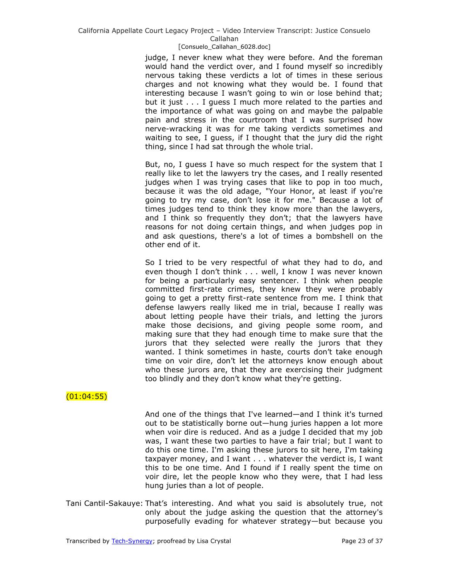judge, I never knew what they were before. And the foreman would hand the verdict over, and I found myself so incredibly nervous taking these verdicts a lot of times in these serious charges and not knowing what they would be. I found that interesting because I wasn't going to win or lose behind that; but it just . . . I guess I much more related to the parties and the importance of what was going on and maybe the palpable pain and stress in the courtroom that I was surprised how nerve-wracking it was for me taking verdicts sometimes and waiting to see, I guess, if I thought that the jury did the right thing, since I had sat through the whole trial.

But, no, I guess I have so much respect for the system that I really like to let the lawyers try the cases, and I really resented judges when I was trying cases that like to pop in too much, because it was the old adage, "Your Honor, at least if you're going to try my case, don't lose it for me." Because a lot of times judges tend to think they know more than the lawyers, and I think so frequently they don't; that the lawyers have reasons for not doing certain things, and when judges pop in and ask questions, there's a lot of times a bombshell on the other end of it.

So I tried to be very respectful of what they had to do, and even though I don't think . . . well, I know I was never known for being a particularly easy sentencer. I think when people committed first-rate crimes, they knew they were probably going to get a pretty first-rate sentence from me. I think that defense lawyers really liked me in trial, because I really was about letting people have their trials, and letting the jurors make those decisions, and giving people some room, and making sure that they had enough time to make sure that the jurors that they selected were really the jurors that they wanted. I think sometimes in haste, courts don't take enough time on voir dire, don't let the attorneys know enough about who these jurors are, that they are exercising their judgment too blindly and they don't know what they're getting.

# $(01:04:55)$

And one of the things that I've learned—and I think it's turned out to be statistically borne out—hung juries happen a lot more when voir dire is reduced. And as a judge I decided that my job was, I want these two parties to have a fair trial; but I want to do this one time. I'm asking these jurors to sit here, I'm taking taxpayer money, and I want . . . whatever the verdict is, I want this to be one time. And I found if I really spent the time on voir dire, let the people know who they were, that I had less hung juries than a lot of people.

Tani Cantil-Sakauye: That's interesting. And what you said is absolutely true, not only about the judge asking the question that the attorney's purposefully evading for whatever strategy—but because you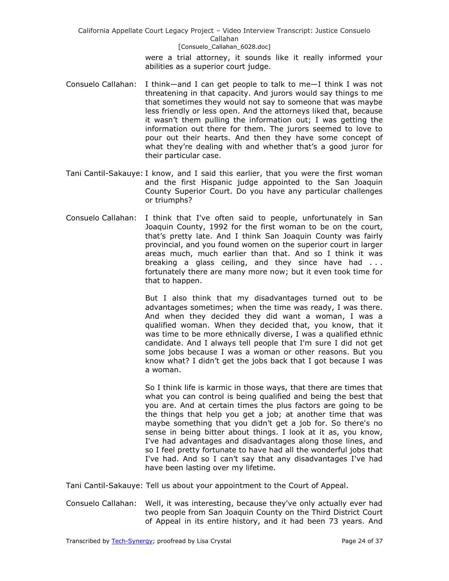> were a trial attorney, it sounds like it really informed your abilities as a superior court judge.

- Consuelo Callahan: I think—and I can get people to talk to me—I think I was not threatening in that capacity. And jurors would say things to me that sometimes they would not say to someone that was maybe less friendly or less open. And the attorneys liked that, because it wasn't them pulling the information out; I was getting the information out there for them. The jurors seemed to love to pour out their hearts. And then they have some concept of what they're dealing with and whether that's a good juror for their particular case.
- Tani Cantil-Sakauye: I know, and I said this earlier, that you were the first woman and the first Hispanic judge appointed to the San Joaquin County Superior Court. Do you have any particular challenges or triumphs?
- Consuelo Callahan: I think that I've often said to people, unfortunately in San Joaquin County, 1992 for the first woman to be on the court, that's pretty late. And I think San Joaquin County was fairly provincial, and you found women on the superior court in larger areas much, much earlier than that. And so I think it was breaking a glass ceiling, and they since have had ... fortunately there are many more now; but it even took time for that to happen.

But I also think that my disadvantages turned out to be advantages sometimes; when the time was ready, I was there. And when they decided they did want a woman, I was a qualified woman. When they decided that, you know, that it was time to be more ethnically diverse, I was a qualified ethnic candidate. And I always tell people that I'm sure I did not get some jobs because I was a woman or other reasons. But you know what? I didn't get the jobs back that I got because I was a woman.

So I think life is karmic in those ways, that there are times that what you can control is being qualified and being the best that you are. And at certain times the plus factors are going to be the things that help you get a job; at another time that was maybe something that you didn't get a job for. So there's no sense in being bitter about things. I look at it as, you know, I've had advantages and disadvantages along those lines, and so I feel pretty fortunate to have had all the wonderful jobs that I've had. And so I can't say that any disadvantages I've had have been lasting over my lifetime.

Tani Cantil-Sakauye: Tell us about your appointment to the Court of Appeal.

Consuelo Callahan: Well, it was interesting, because they've only actually ever had two people from San Joaquin County on the Third District Court of Appeal in its entire history, and it had been 73 years. And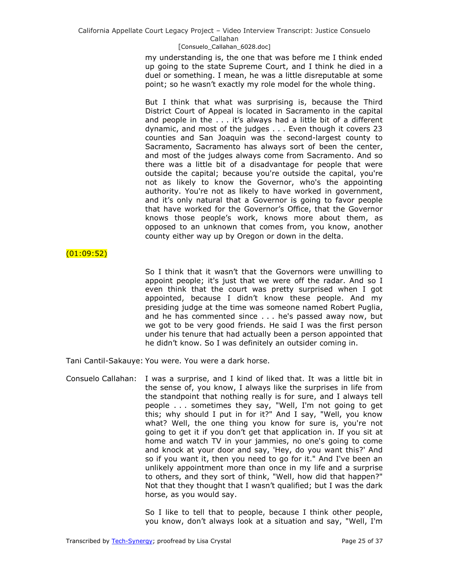my understanding is, the one that was before me I think ended up going to the state Supreme Court, and I think he died in a duel or something. I mean, he was a little disreputable at some point; so he wasn't exactly my role model for the whole thing.

But I think that what was surprising is, because the Third District Court of Appeal is located in Sacramento in the capital and people in the . . . it's always had a little bit of a different dynamic, and most of the judges . . . Even though it covers 23 counties and San Joaquin was the second-largest county to Sacramento, Sacramento has always sort of been the center, and most of the judges always come from Sacramento. And so there was a little bit of a disadvantage for people that were outside the capital; because you're outside the capital, you're not as likely to know the Governor, who's the appointing authority. You're not as likely to have worked in government, and it's only natural that a Governor is going to favor people that have worked for the Governor's Office, that the Governor knows those people's work, knows more about them, as opposed to an unknown that comes from, you know, another county either way up by Oregon or down in the delta.

# $(01:09:52)$

So I think that it wasn't that the Governors were unwilling to appoint people; it's just that we were off the radar. And so I even think that the court was pretty surprised when I got appointed, because I didn't know these people. And my presiding judge at the time was someone named Robert Puglia, and he has commented since . . . he's passed away now, but we got to be very good friends. He said I was the first person under his tenure that had actually been a person appointed that he didn't know. So I was definitely an outsider coming in.

Tani Cantil-Sakauye: You were. You were a dark horse.

Consuelo Callahan: I was a surprise, and I kind of liked that. It was a little bit in the sense of, you know, I always like the surprises in life from the standpoint that nothing really is for sure, and I always tell people . . . sometimes they say, "Well, I'm not going to get this; why should I put in for it?" And I say, "Well, you know what? Well, the one thing you know for sure is, you're not going to get it if you don't get that application in. If you sit at home and watch TV in your jammies, no one's going to come and knock at your door and say, 'Hey, do you want this?' And so if you want it, then you need to go for it." And I've been an unlikely appointment more than once in my life and a surprise to others, and they sort of think, "Well, how did that happen?" Not that they thought that I wasn't qualified; but I was the dark horse, as you would say.

> So I like to tell that to people, because I think other people, you know, don't always look at a situation and say, "Well, I'm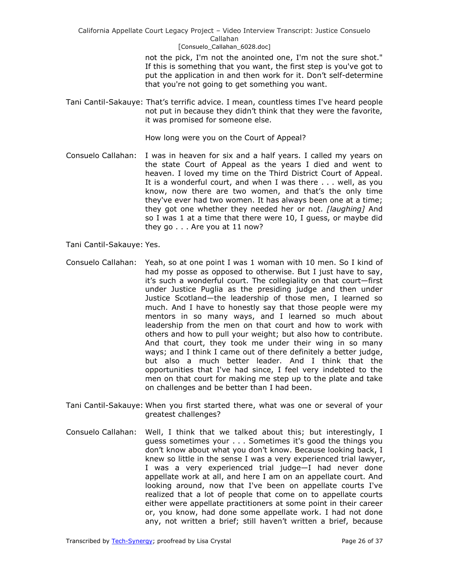> not the pick, I'm not the anointed one, I'm not the sure shot." If this is something that you want, the first step is you've got to put the application in and then work for it. Don't self-determine that you're not going to get something you want.

Tani Cantil-Sakauye: That's terrific advice. I mean, countless times I've heard people not put in because they didn't think that they were the favorite, it was promised for someone else.

How long were you on the Court of Appeal?

- Consuelo Callahan: I was in heaven for six and a half years. I called my years on the state Court of Appeal as the years I died and went to heaven. I loved my time on the Third District Court of Appeal. It is a wonderful court, and when I was there . . . well, as you know, now there are two women, and that's the only time they've ever had two women. It has always been one at a time; they got one whether they needed her or not. *[laughing]* And so I was 1 at a time that there were 10, I guess, or maybe did they go . . . Are you at 11 now?
- Tani Cantil-Sakauye: Yes.
- Consuelo Callahan: Yeah, so at one point I was 1 woman with 10 men. So I kind of had my posse as opposed to otherwise. But I just have to say, it's such a wonderful court. The collegiality on that court—first under Justice Puglia as the presiding judge and then under Justice Scotland—the leadership of those men, I learned so much. And I have to honestly say that those people were my mentors in so many ways, and I learned so much about leadership from the men on that court and how to work with others and how to pull your weight; but also how to contribute. And that court, they took me under their wing in so many ways; and I think I came out of there definitely a better judge, but also a much better leader. And I think that the opportunities that I've had since, I feel very indebted to the men on that court for making me step up to the plate and take on challenges and be better than I had been.
- Tani Cantil-Sakauye: When you first started there, what was one or several of your greatest challenges?
- Consuelo Callahan: Well, I think that we talked about this; but interestingly, I guess sometimes your . . . Sometimes it's good the things you don't know about what you don't know. Because looking back, I knew so little in the sense I was a very experienced trial lawyer, I was a very experienced trial judge—I had never done appellate work at all, and here I am on an appellate court. And looking around, now that I've been on appellate courts I've realized that a lot of people that come on to appellate courts either were appellate practitioners at some point in their career or, you know, had done some appellate work. I had not done any, not written a brief; still haven't written a brief, because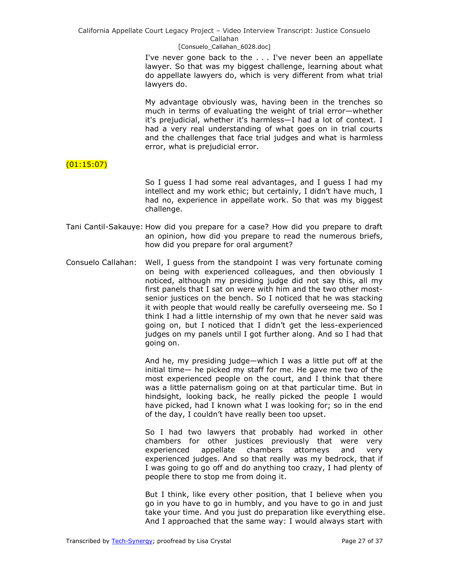[Consuelo\_Callahan\_6028.doc]

I've never gone back to the . . . I've never been an appellate lawyer. So that was my biggest challenge, learning about what do appellate lawyers do, which is very different from what trial lawyers do.

My advantage obviously was, having been in the trenches so much in terms of evaluating the weight of trial error—whether it's prejudicial, whether it's harmless—I had a lot of context. I had a very real understanding of what goes on in trial courts and the challenges that face trial judges and what is harmless error, what is prejudicial error.

# (01:15:07)

So I guess I had some real advantages, and I guess I had my intellect and my work ethic; but certainly, I didn't have much, I had no, experience in appellate work. So that was my biggest challenge.

- Tani Cantil-Sakauye: How did you prepare for a case? How did you prepare to draft an opinion, how did you prepare to read the numerous briefs, how did you prepare for oral argument?
- Consuelo Callahan: Well, I guess from the standpoint I was very fortunate coming on being with experienced colleagues, and then obviously I noticed, although my presiding judge did not say this, all my first panels that I sat on were with him and the two other mostsenior justices on the bench. So I noticed that he was stacking it with people that would really be carefully overseeing me. So I think I had a little internship of my own that he never said was going on, but I noticed that I didn't get the less-experienced judges on my panels until I got further along. And so I had that going on.

And he, my presiding judge—which I was a little put off at the initial time— he picked my staff for me. He gave me two of the most experienced people on the court, and I think that there was a little paternalism going on at that particular time. But in hindsight, looking back, he really picked the people I would have picked, had I known what I was looking for; so in the end of the day, I couldn't have really been too upset.

So I had two lawyers that probably had worked in other chambers for other justices previously that were very experienced appellate chambers attorneys and very experienced judges. And so that really was my bedrock, that if I was going to go off and do anything too crazy, I had plenty of people there to stop me from doing it.

But I think, like every other position, that I believe when you go in you have to go in humbly, and you have to go in and just take your time. And you just do preparation like everything else. And I approached that the same way: I would always start with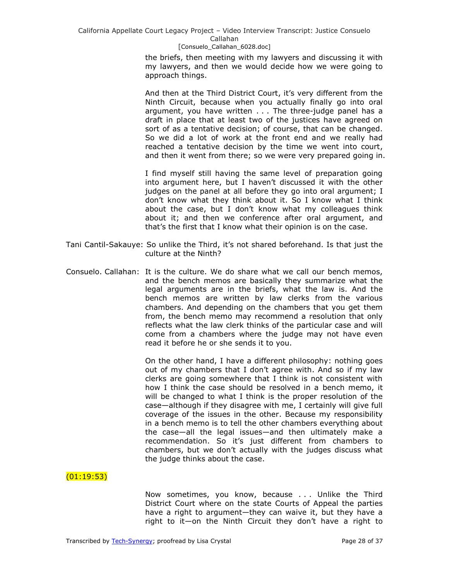> the briefs, then meeting with my lawyers and discussing it with my lawyers, and then we would decide how we were going to approach things.

> And then at the Third District Court, it's very different from the Ninth Circuit, because when you actually finally go into oral argument, you have written . . . The three-judge panel has a draft in place that at least two of the justices have agreed on sort of as a tentative decision; of course, that can be changed. So we did a lot of work at the front end and we really had reached a tentative decision by the time we went into court, and then it went from there; so we were very prepared going in.

> I find myself still having the same level of preparation going into argument here, but I haven't discussed it with the other judges on the panel at all before they go into oral argument; I don't know what they think about it. So I know what I think about the case, but I don't know what my colleagues think about it; and then we conference after oral argument, and that's the first that I know what their opinion is on the case.

- Tani Cantil-Sakauye: So unlike the Third, it's not shared beforehand. Is that just the culture at the Ninth?
- Consuelo. Callahan: It is the culture. We do share what we call our bench memos, and the bench memos are basically they summarize what the legal arguments are in the briefs, what the law is. And the bench memos are written by law clerks from the various chambers. And depending on the chambers that you get them from, the bench memo may recommend a resolution that only reflects what the law clerk thinks of the particular case and will come from a chambers where the judge may not have even read it before he or she sends it to you.

On the other hand, I have a different philosophy: nothing goes out of my chambers that I don't agree with. And so if my law clerks are going somewhere that I think is not consistent with how I think the case should be resolved in a bench memo, it will be changed to what I think is the proper resolution of the case—although if they disagree with me, I certainly will give full coverage of the issues in the other. Because my responsibility in a bench memo is to tell the other chambers everything about the case—all the legal issues—and then ultimately make a recommendation. So it's just different from chambers to chambers, but we don't actually with the judges discuss what the judge thinks about the case.

## $(01:19:53)$

Now sometimes, you know, because . . . Unlike the Third District Court where on the state Courts of Appeal the parties have a right to argument—they can waive it, but they have a right to it—on the Ninth Circuit they don't have a right to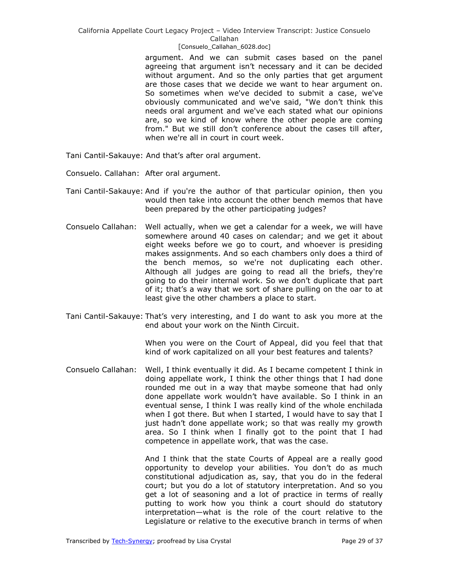### [Consuelo\_Callahan\_6028.doc]

argument. And we can submit cases based on the panel agreeing that argument isn't necessary and it can be decided without argument. And so the only parties that get argument are those cases that we decide we want to hear argument on. So sometimes when we've decided to submit a case, we've obviously communicated and we've said, "We don't think this needs oral argument and we've each stated what our opinions are, so we kind of know where the other people are coming from." But we still don't conference about the cases till after, when we're all in court in court week.

Tani Cantil-Sakauye: And that's after oral argument.

Consuelo. Callahan: After oral argument.

- Tani Cantil-Sakauye: And if you're the author of that particular opinion, then you would then take into account the other bench memos that have been prepared by the other participating judges?
- Consuelo Callahan: Well actually, when we get a calendar for a week, we will have somewhere around 40 cases on calendar; and we get it about eight weeks before we go to court, and whoever is presiding makes assignments. And so each chambers only does a third of the bench memos, so we're not duplicating each other. Although all judges are going to read all the briefs, they're going to do their internal work. So we don't duplicate that part of it; that's a way that we sort of share pulling on the oar to at least give the other chambers a place to start.
- Tani Cantil-Sakauye: That's very interesting, and I do want to ask you more at the end about your work on the Ninth Circuit.

When you were on the Court of Appeal, did you feel that that kind of work capitalized on all your best features and talents?

Consuelo Callahan: Well, I think eventually it did. As I became competent I think in doing appellate work, I think the other things that I had done rounded me out in a way that maybe someone that had only done appellate work wouldn't have available. So I think in an eventual sense, I think I was really kind of the whole enchilada when I got there. But when I started, I would have to say that I just hadn't done appellate work; so that was really my growth area. So I think when I finally got to the point that I had competence in appellate work, that was the case.

> And I think that the state Courts of Appeal are a really good opportunity to develop your abilities. You don't do as much constitutional adjudication as, say, that you do in the federal court; but you do a lot of statutory interpretation. And so you get a lot of seasoning and a lot of practice in terms of really putting to work how you think a court should do statutory interpretation—what is the role of the court relative to the Legislature or relative to the executive branch in terms of when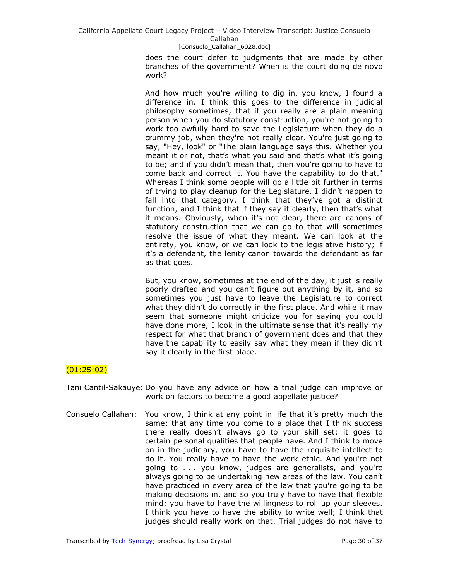### [Consuelo\_Callahan\_6028.doc]

does the court defer to judgments that are made by other branches of the government? When is the court doing de novo work?

And how much you're willing to dig in, you know, I found a difference in. I think this goes to the difference in judicial philosophy sometimes, that if you really are a plain meaning person when you do statutory construction, you're not going to work too awfully hard to save the Legislature when they do a crummy job, when they're not really clear. You're just going to say, "Hey, look" or "The plain language says this. Whether you meant it or not, that's what you said and that's what it's going to be; and if you didn't mean that, then you're going to have to come back and correct it. You have the capability to do that." Whereas I think some people will go a little bit further in terms of trying to play cleanup for the Legislature. I didn't happen to fall into that category. I think that they've got a distinct function, and I think that if they say it clearly, then that's what it means. Obviously, when it's not clear, there are canons of statutory construction that we can go to that will sometimes resolve the issue of what they meant. We can look at the entirety, you know, or we can look to the legislative history; if it's a defendant, the lenity canon towards the defendant as far as that goes.

But, you know, sometimes at the end of the day, it just is really poorly drafted and you can't figure out anything by it, and so sometimes you just have to leave the Legislature to correct what they didn't do correctly in the first place. And while it may seem that someone might criticize you for saying you could have done more, I look in the ultimate sense that it's really my respect for what that branch of government does and that they have the capability to easily say what they mean if they didn't say it clearly in the first place.

# (01:25:02)

Tani Cantil-Sakauye: Do you have any advice on how a trial judge can improve or work on factors to become a good appellate justice?

Consuelo Callahan: You know, I think at any point in life that it's pretty much the same: that any time you come to a place that I think success there really doesn't always go to your skill set; it goes to certain personal qualities that people have. And I think to move on in the judiciary, you have to have the requisite intellect to do it. You really have to have the work ethic. And you're not going to . . . you know, judges are generalists, and you're always going to be undertaking new areas of the law. You can't have practiced in every area of the law that you're going to be making decisions in, and so you truly have to have that flexible mind; you have to have the willingness to roll up your sleeves. I think you have to have the ability to write well; I think that judges should really work on that. Trial judges do not have to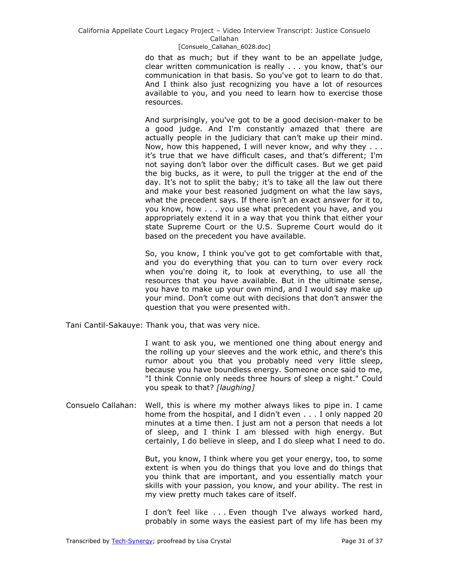### [Consuelo\_Callahan\_6028.doc]

do that as much; but if they want to be an appellate judge, clear written communication is really . . . you know, that's our communication in that basis. So you've got to learn to do that. And I think also just recognizing you have a lot of resources available to you, and you need to learn how to exercise those resources.

And surprisingly, you've got to be a good decision-maker to be a good judge. And I'm constantly amazed that there are actually people in the judiciary that can't make up their mind. Now, how this happened, I will never know, and why they . . . it's true that we have difficult cases, and that's different; I'm not saying don't labor over the difficult cases. But we get paid the big bucks, as it were, to pull the trigger at the end of the day. It's not to split the baby; it's to take all the law out there and make your best reasoned judgment on what the law says, what the precedent says. If there isn't an exact answer for it to, you know, how . . . you use what precedent you have, and you appropriately extend it in a way that you think that either your state Supreme Court or the U.S. Supreme Court would do it based on the precedent you have available.

So, you know, I think you've got to get comfortable with that, and you do everything that you can to turn over every rock when you're doing it, to look at everything, to use all the resources that you have available. But in the ultimate sense, you have to make up your own mind, and I would say make up your mind. Don't come out with decisions that don't answer the question that you were presented with.

Tani Cantil-Sakauye: Thank you, that was very nice.

I want to ask you, we mentioned one thing about energy and the rolling up your sleeves and the work ethic, and there's this rumor about you that you probably need very little sleep, because you have boundless energy. Someone once said to me, "I think Connie only needs three hours of sleep a night." Could you speak to that? *[laughing]*

Consuelo Callahan: Well, this is where my mother always likes to pipe in. I came home from the hospital, and I didn't even . . . I only napped 20 minutes at a time then. I just am not a person that needs a lot of sleep, and I think I am blessed with high energy. But certainly, I do believe in sleep, and I do sleep what I need to do.

> But, you know, I think where you get your energy, too, to some extent is when you do things that you love and do things that you think that are important, and you essentially match your skills with your passion, you know, and your ability. The rest in my view pretty much takes care of itself.

> I don't feel like . . . Even though I've always worked hard, probably in some ways the easiest part of my life has been my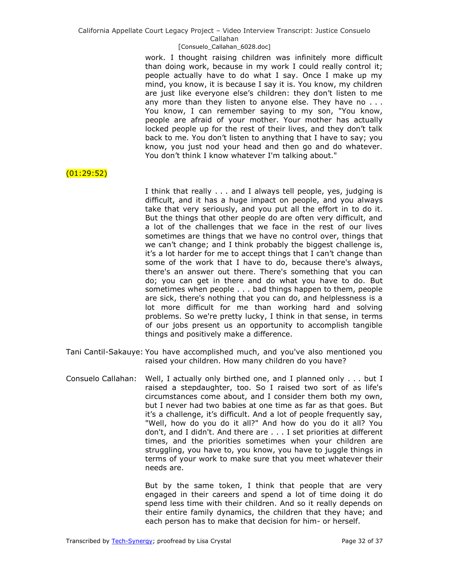### [Consuelo\_Callahan\_6028.doc]

work. I thought raising children was infinitely more difficult than doing work, because in my work I could really control it; people actually have to do what I say. Once I make up my mind, you know, it is because I say it is. You know, my children are just like evervone else's children: they don't listen to me any more than they listen to anyone else. They have no . . . You know, I can remember saying to my son, "You know, people are afraid of your mother. Your mother has actually locked people up for the rest of their lives, and they don't talk back to me. You don't listen to anything that I have to say; you know, you just nod your head and then go and do whatever. You don't think I know whatever I'm talking about."

# $(01:29:52)$

I think that really . . . and I always tell people, yes, judging is difficult, and it has a huge impact on people, and you always take that very seriously, and you put all the effort in to do it. But the things that other people do are often very difficult, and a lot of the challenges that we face in the rest of our lives sometimes are things that we have no control over, things that we can't change; and I think probably the biggest challenge is, it's a lot harder for me to accept things that I can't change than some of the work that I have to do, because there's always, there's an answer out there. There's something that you can do; you can get in there and do what you have to do. But sometimes when people . . . bad things happen to them, people are sick, there's nothing that you can do, and helplessness is a lot more difficult for me than working hard and solving problems. So we're pretty lucky, I think in that sense, in terms of our jobs present us an opportunity to accomplish tangible things and positively make a difference.

- Tani Cantil-Sakauye: You have accomplished much, and you've also mentioned you raised your children. How many children do you have?
- Consuelo Callahan: Well, I actually only birthed one, and I planned only . . . but I raised a stepdaughter, too. So I raised two sort of as life's circumstances come about, and I consider them both my own, but I never had two babies at one time as far as that goes. But it's a challenge, it's difficult. And a lot of people frequently say, "Well, how do you do it all?" And how do you do it all? You don't, and I didn't. And there are . . . I set priorities at different times, and the priorities sometimes when your children are struggling, you have to, you know, you have to juggle things in terms of your work to make sure that you meet whatever their needs are.

But by the same token, I think that people that are very engaged in their careers and spend a lot of time doing it do spend less time with their children. And so it really depends on their entire family dynamics, the children that they have; and each person has to make that decision for him- or herself.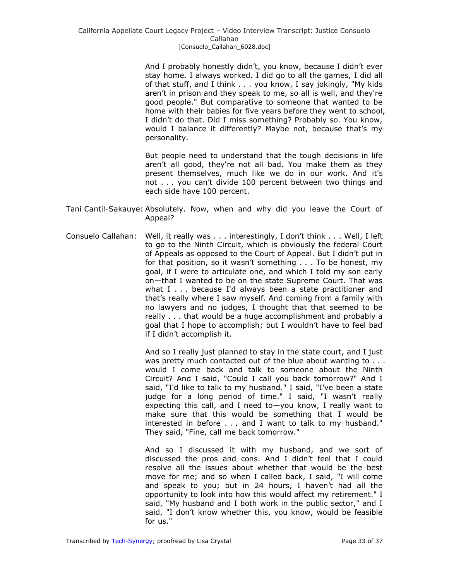And I probably honestly didn't, you know, because I didn't ever stay home. I always worked. I did go to all the games, I did all of that stuff, and I think . . . you know, I say jokingly, "My kids aren't in prison and they speak to me, so all is well, and they're good people." But comparative to someone that wanted to be home with their babies for five years before they went to school, I didn't do that. Did I miss something? Probably so. You know, would I balance it differently? Maybe not, because that's my personality.

But people need to understand that the tough decisions in life aren't all good, they're not all bad. You make them as they present themselves, much like we do in our work. And it's not . . . you can't divide 100 percent between two things and each side have 100 percent.

- Tani Cantil-Sakauye: Absolutely. Now, when and why did you leave the Court of Appeal?
- Consuelo Callahan: Well, it really was . . . interestingly, I don't think . . . Well, I left to go to the Ninth Circuit, which is obviously the federal Court of Appeals as opposed to the Court of Appeal. But I didn't put in for that position, so it wasn't something . . . To be honest, my goal, if I were to articulate one, and which I told my son early on—that I wanted to be on the state Supreme Court. That was what I . . . because I'd always been a state practitioner and that's really where I saw myself. And coming from a family with no lawyers and no judges, I thought that that seemed to be really . . . that would be a huge accomplishment and probably a goal that I hope to accomplish; but I wouldn't have to feel bad if I didn't accomplish it.

And so I really just planned to stay in the state court, and I just was pretty much contacted out of the blue about wanting to . . . would I come back and talk to someone about the Ninth Circuit? And I said, "Could I call you back tomorrow?" And I said, "I'd like to talk to my husband." I said, "I've been a state judge for a long period of time." I said, "I wasn't really expecting this call, and I need to—you know, I really want to make sure that this would be something that I would be interested in before . . . and I want to talk to my husband." They said, "Fine, call me back tomorrow."

And so I discussed it with my husband, and we sort of discussed the pros and cons. And I didn't feel that I could resolve all the issues about whether that would be the best move for me; and so when I called back, I said, "I will come and speak to you; but in 24 hours, I haven't had all the opportunity to look into how this would affect my retirement." I said, "My husband and I both work in the public sector," and I said, "I don't know whether this, you know, would be feasible for us."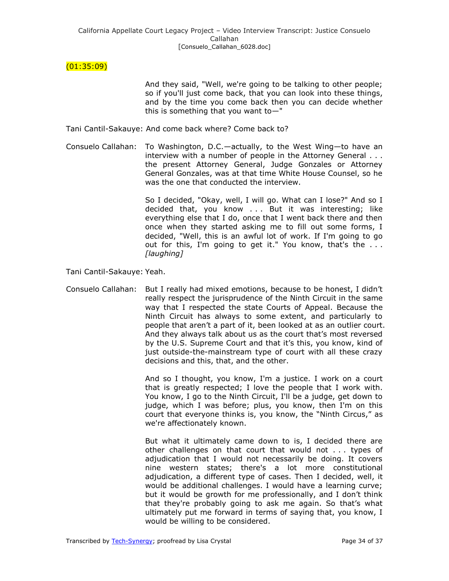# (01:35:09)

And they said, "Well, we're going to be talking to other people; so if you'll just come back, that you can look into these things, and by the time you come back then you can decide whether this is something that you want to—"

Tani Cantil-Sakauye: And come back where? Come back to?

Consuelo Callahan: To Washington, D.C.—actually, to the West Wing—to have an interview with a number of people in the Attorney General . . . the present Attorney General, Judge Gonzales or Attorney General Gonzales, was at that time White House Counsel, so he was the one that conducted the interview.

> So I decided, "Okay, well, I will go. What can I lose?" And so I decided that, you know . . . But it was interesting; like everything else that I do, once that I went back there and then once when they started asking me to fill out some forms, I decided, "Well, this is an awful lot of work. If I'm going to go out for this, I'm going to get it." You know, that's the . . . *[laughing]*

Tani Cantil-Sakauye: Yeah.

Consuelo Callahan: But I really had mixed emotions, because to be honest, I didn't really respect the jurisprudence of the Ninth Circuit in the same way that I respected the state Courts of Appeal. Because the Ninth Circuit has always to some extent, and particularly to people that aren't a part of it, been looked at as an outlier court. And they always talk about us as the court that's most reversed by the U.S. Supreme Court and that it's this, you know, kind of just outside-the-mainstream type of court with all these crazy decisions and this, that, and the other.

> And so I thought, you know, I'm a justice. I work on a court that is greatly respected; I love the people that I work with. You know, I go to the Ninth Circuit, I'll be a judge, get down to judge, which I was before; plus, you know, then I'm on this court that everyone thinks is, you know, the "Ninth Circus," as we're affectionately known.

> But what it ultimately came down to is, I decided there are other challenges on that court that would not . . . types of adjudication that I would not necessarily be doing. It covers nine western states; there's a lot more constitutional adjudication, a different type of cases. Then I decided, well, it would be additional challenges. I would have a learning curve; but it would be growth for me professionally, and I don't think that they're probably going to ask me again. So that's what ultimately put me forward in terms of saying that, you know, I would be willing to be considered.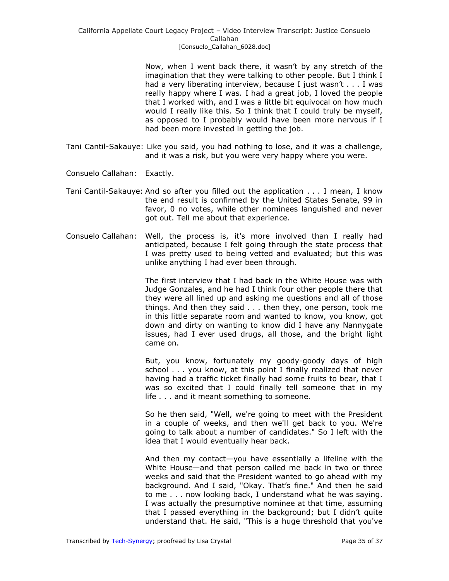Now, when I went back there, it wasn't by any stretch of the imagination that they were talking to other people. But I think I had a very liberating interview, because I just wasn't . . . I was really happy where I was. I had a great job, I loved the people that I worked with, and I was a little bit equivocal on how much would I really like this. So I think that I could truly be myself, as opposed to I probably would have been more nervous if I had been more invested in getting the job.

- Tani Cantil-Sakauye: Like you said, you had nothing to lose, and it was a challenge, and it was a risk, but you were very happy where you were.
- Consuelo Callahan: Exactly.
- Tani Cantil-Sakauye: And so after you filled out the application . . . I mean, I know the end result is confirmed by the United States Senate, 99 in favor, 0 no votes, while other nominees languished and never got out. Tell me about that experience.
- Consuelo Callahan: Well, the process is, it's more involved than I really had anticipated, because I felt going through the state process that I was pretty used to being vetted and evaluated; but this was unlike anything I had ever been through.

The first interview that I had back in the White House was with Judge Gonzales, and he had I think four other people there that they were all lined up and asking me questions and all of those things. And then they said . . . then they, one person, took me in this little separate room and wanted to know, you know, got down and dirty on wanting to know did I have any Nannygate issues, had I ever used drugs, all those, and the bright light came on.

But, you know, fortunately my goody-goody days of high school . . . you know, at this point I finally realized that never having had a traffic ticket finally had some fruits to bear, that I was so excited that I could finally tell someone that in my life . . . and it meant something to someone.

So he then said, "Well, we're going to meet with the President in a couple of weeks, and then we'll get back to you. We're going to talk about a number of candidates." So I left with the idea that I would eventually hear back.

And then my contact—you have essentially a lifeline with the White House—and that person called me back in two or three weeks and said that the President wanted to go ahead with my background. And I said, "Okay. That's fine." And then he said to me . . . now looking back, I understand what he was saying. I was actually the presumptive nominee at that time, assuming that I passed everything in the background; but I didn't quite understand that. He said, "This is a huge threshold that you've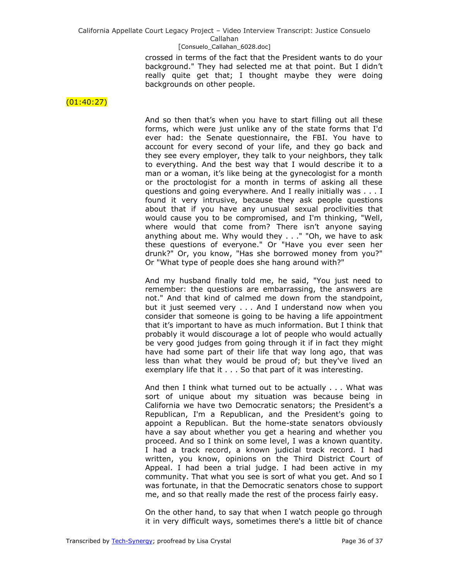### [Consuelo\_Callahan\_6028.doc]

crossed in terms of the fact that the President wants to do your background." They had selected me at that point. But I didn't really quite get that; I thought maybe they were doing backgrounds on other people.

### $(01:40:27)$

And so then that's when you have to start filling out all these forms, which were just unlike any of the state forms that I'd ever had: the Senate questionnaire, the FBI. You have to account for every second of your life, and they go back and they see every employer, they talk to your neighbors, they talk to everything. And the best way that I would describe it to a man or a woman, it's like being at the gynecologist for a month or the proctologist for a month in terms of asking all these questions and going everywhere. And I really initially was . . . I found it very intrusive, because they ask people questions about that if you have any unusual sexual proclivities that would cause you to be compromised, and I'm thinking, "Well, where would that come from? There isn't anyone saying anything about me. Why would they . . ." "Oh, we have to ask these questions of everyone." Or "Have you ever seen her drunk?" Or, you know, "Has she borrowed money from you?" Or "What type of people does she hang around with?"

And my husband finally told me, he said, "You just need to remember: the questions are embarrassing, the answers are not." And that kind of calmed me down from the standpoint, but it just seemed very . . . And I understand now when you consider that someone is going to be having a life appointment that it's important to have as much information. But I think that probably it would discourage a lot of people who would actually be very good judges from going through it if in fact they might have had some part of their life that way long ago, that was less than what they would be proud of; but they've lived an exemplary life that it . . . So that part of it was interesting.

And then I think what turned out to be actually . . . What was sort of unique about my situation was because being in California we have two Democratic senators; the President's a Republican, I'm a Republican, and the President's going to appoint a Republican. But the home-state senators obviously have a say about whether you get a hearing and whether you proceed. And so I think on some level, I was a known quantity. I had a track record, a known judicial track record. I had written, you know, opinions on the Third District Court of Appeal. I had been a trial judge. I had been active in my community. That what you see is sort of what you get. And so I was fortunate, in that the Democratic senators chose to support me, and so that really made the rest of the process fairly easy.

On the other hand, to say that when I watch people go through it in very difficult ways, sometimes there's a little bit of chance